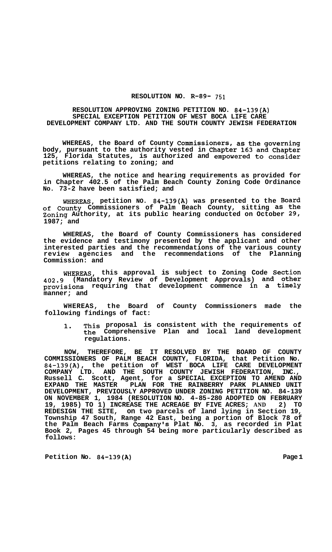### **RESOLUTION NO. R-89- 751**

### **RESOLUTION APPROVING ZONING PETITION NO. 84-139(A) SPECIAL EXCEPTION PETITION OF WEST BOCA LIFE CARE DEVELOPMENT COMPANY LTD. AND THE SOUTH COUNTY JEWISH FEDERATION**

**WHEREAS, the Board of County Commissioners, as the governing body, pursuant to the authority vested in Chapter 163 and Chapter 125, Florida Statutes, is authorized and empowered to consider petitions relating to zoning; and** 

**WHEREAS, the notice and hearing requirements as provided for in Chapter 402.5 of the Palm Beach County Zoning Code Ordinance No. 73-2 have been satisfied; and** 

**WHEREAS, petition NO. 84-139(A) was presented to the Board of County Commissioners of Palm Beach County, sitting as the Zoning Authority, at its public hearing conducted on October 29, 1987; and** 

**WHEREAS, the Board of County Commissioners has considered the evidence and testimony presented by the applicant and other interested parties and the recommendations of the various county review agencies and the recommendations of the Planning Commission: and** 

**WHEREAS, this approval is subject to Zoning Code Section 402.9 (Mandatory Review of Development Approvals) and other provisions requiring that development commence in a timely manner; and** 

**WHEREAS, the Board of County Commissioners made the following findings of fact:** 

**1. This proposal is consistent with the requirements of the Comprehensive Plan and local land development regulations.** 

**NOW, THEREFORE, BE IT RESOLVED BY THE BOARD OF COUNTY COMMISSIONERS OF PALM BEACH COUNTY, FLORIDA, that Petition No. 84-139(A), the petition of WEST BOCA LIFE CARE DEVELOPMENT COMPANY LTD. AND THE SOUTH COUNTY JEWISH FEDERATION, INC., Russell C. Scott, Agent, for a SPECIAL EXCEPTION TO AMEND AND EXPAND THE MASTER PLAN FOR THE RAINBERRY PARK PLANNED UNIT DEVELOPMENT, PREVIOUSLY APPROVED UNDER ZONING PETITION NO. 84-139 ON NOVEMBER 1, 1984 (RESOLUTION NO. 4-85-280 ADOPTED ON FEBRUARY 19, 1985) TO 1) INCREASE THE ACREAGE BY FIVE ACRES; AND 2) TO REDESIGN THE SITE, on two parcels of land lying in Section 19, Township 47 South, Range 42 East, being a portion of Block 78 of the Palm Beach Farms Company's Plat No. 3, as recorded in Plat Book 2, Pages 45 through 54 being more particularly described as follows:** 

Petition No. 84-139(A) Page 1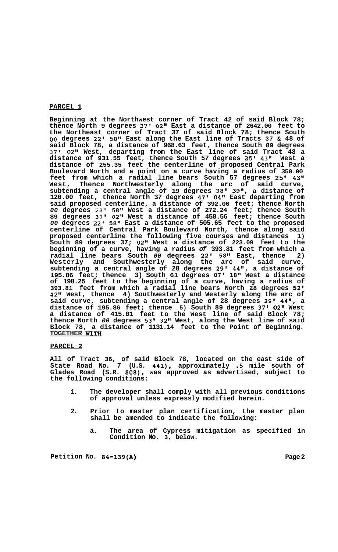## **PARCEL 1**

**Beginning at the Northwest corner of Tract 42 of said Block 78; thence North 9 degrees 37' 02" East a distance of 2642.00 feet to the Northeast corner of Tract 37 of said Block 78; thence South**  *00* **degrees 22' 58" East along the East line of Tracts 37** & **48 of said Block 78, a distance of 968.63 feet, thence South 89 degrees 37' 02" West, departing from the East line of said Tract 48 a distance of 931.55 feet, thence South 57 degrees 25l 43" West a distance of 255.35 feet the centerline of proposed Central Park Boulevard North and a point on a curve having a radius of 350.00 feet from which a radial line bears South 57 degrees 25' 43" West, Thence Northwesterly along the arc of said curve, subtending a central angle of 19 degrees 38' 39", a distance of 120.00 feet, thence North 37 degrees 47' 04" East departing from said proposed centerline, a distance of 392.06 feet; thence North**  *00* **degrees 22' 58'' West a distance of 272.24 feet; thence South 89 degrees 37' 02ll West a distance of 458.56 feet; thence South**  *00* **degrees 22' 58" East a distance of 505.65 feet to the proposed centerline of Central Park Boulevard North, thence along said proposed centerline the following five courses and distances 1) South 89 degrees 37; 02" West a distance of 223.09 feet to the beginning of a curve, having a radius** *of* **393.81 feet from which a radial line bears South** *00* **degrees 22' 58" East, thence 2) Westerly and Southwesterly along the arc of said curve, subtending a central angle of 28 degrees 29' 44", a distance of 195.86 feet; thence 3) South 61 degrees 07' 18'l West a distance of 198.25 feet to the beginning of a curve, having a radius of 393.81 feet from which a radial line bears North 28 degrees 52' 42" West, thence 4) Southwesterly and Westerly along the arc of said curve, subtending a central angle of 28 degrees 29' 44", a distance of 195.86 feet; thence 5) South 89 degrees 37' 02'' West a distance of 415.01 feet to the West line of said Block 78; thence North** *00* **degrees 53' 32" West, along the West line of said Block 78, a distance of 1131.14 feet to the Point of Beginning. TOGETHER WITH** 

### **PARCEL 2**

**All of Tract 36, of said Block 78, located on the east side of State Road No. 7 (U.S. 441), approximately .5 mile south of Glades Road (S.R. 808), was approved as advertised, subject to the following conditions:** 

- **1. The developer shall comply with all previous conditions of approval unless expressly modified herein.**
- **2. Prior to master plan certification, the master plan shall be amended to indicate the following:** 
	- **a. The area of Cypress mitigation as specified in Condition No. 3, below.**

Petition No. 84-139(A) Page 2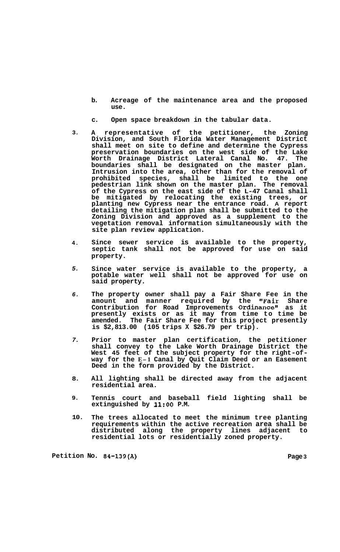- **b. Acreage of the maintenance area and the proposed use.**
- **c. Open space breakdown in the tabular data.**
- **3. A representative of the petitioner, the Zoning Division, and South Florida Water Management District shall meet on site to define and determine the Cypress preservation boundaries on the west side of the Lake Worth Drainage District Lateral Canal No. 47. The boundaries shall be designated on the master plan. Intrusion into the area, other than for the removal of prohibited species, shall be limited to the one pedestrian link shown on the master plan. The removal of the Cypress on the east side of the L-47 Canal shall be mitigated by relocating the existing trees, or planting new Cypress near the entrance road. A report detailing the mitigation plan shall be submitted to the Zoning Division and approved as a supplement to the vegetation removal information simultaneously with the site plan review application.**
- **4. Since sewer service is available to the property, septic tank shall not be approved for use on said property.**
- *5.*  **Since water service is available to the property, a potable water well shall not be approved for use on said property.**
- *6.*  **The property owner shall pay a Fair Share Fee in the amount and manner required by the "Fair Share Contribution for Road Improvements Ordinance" as it presently exists or as it may from time to time be amended. The Fair Share Fee for this project presently is \$2,813.00 (105 trips X \$26.79 per trip).**
- *7.*  **Prior to master plan certification, the petitioner shall convey to the Lake Worth Drainage District the West 45 feet of the subject property for the right-of- way for the E-1 Canal by Quit Claim Deed or an Easement Deed in the form provided by the District.**
- **8. All lighting shall be directed away from the adjacent residential area.**
- **9. Tennis court and baseball field lighting shall be extinguished by 11:OO P.M.**
- **10. The trees allocated to meet the minimum tree planting requirements within the active recreation area shall be distributed along the property lines adjacent to residential lots or residentially zoned property.**

**Petition No. 84-139(A) Page 3**